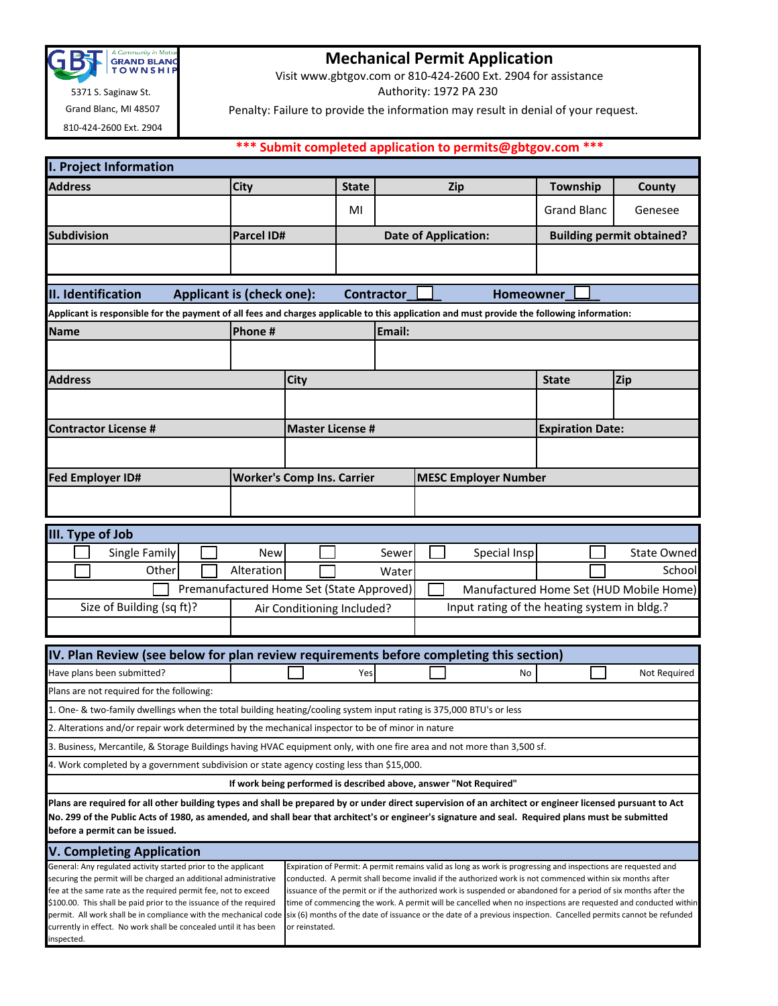

 5371 S. Saginaw St. Grand Blanc, MI 48507

810-424-2600 Ext. 2904

inspected.

## **Mechanical Permit Application**

Visit www.gbtgov.com or 810-424-2600 Ext. 2904 for assistance

Authority: 1972 PA 230

Penalty: Failure to provide the information may result in denial of your request.

## **\*\*\* Submit completed application to permits@gbtgov.com \*\*\***

| I. Project Information                                                                                                                                                                                                                                                                                                                                          |                                                                                                                                                                                                                                                                                                           |                                                                  |              |        |  |                             |                                  |                    |  |
|-----------------------------------------------------------------------------------------------------------------------------------------------------------------------------------------------------------------------------------------------------------------------------------------------------------------------------------------------------------------|-----------------------------------------------------------------------------------------------------------------------------------------------------------------------------------------------------------------------------------------------------------------------------------------------------------|------------------------------------------------------------------|--------------|--------|--|-----------------------------|----------------------------------|--------------------|--|
| <b>Address</b>                                                                                                                                                                                                                                                                                                                                                  | City                                                                                                                                                                                                                                                                                                      |                                                                  | <b>State</b> |        |  | <b>Zip</b>                  | Township                         | County             |  |
|                                                                                                                                                                                                                                                                                                                                                                 |                                                                                                                                                                                                                                                                                                           |                                                                  | MI           |        |  |                             | <b>Grand Blanc</b>               | Genesee            |  |
| <b>Subdivision</b>                                                                                                                                                                                                                                                                                                                                              | <b>Parcel ID#</b>                                                                                                                                                                                                                                                                                         |                                                                  |              |        |  | <b>Date of Application:</b> | <b>Building permit obtained?</b> |                    |  |
|                                                                                                                                                                                                                                                                                                                                                                 |                                                                                                                                                                                                                                                                                                           |                                                                  |              |        |  |                             |                                  |                    |  |
|                                                                                                                                                                                                                                                                                                                                                                 |                                                                                                                                                                                                                                                                                                           |                                                                  |              |        |  |                             |                                  |                    |  |
| II. Identification<br><b>Applicant is (check one):</b><br><b>Contractor</b><br><b>Homeowner</b><br>Applicant is responsible for the payment of all fees and charges applicable to this application and must provide the following information:                                                                                                                  |                                                                                                                                                                                                                                                                                                           |                                                                  |              |        |  |                             |                                  |                    |  |
| <b>Name</b>                                                                                                                                                                                                                                                                                                                                                     | Phone#                                                                                                                                                                                                                                                                                                    |                                                                  |              | Email: |  |                             |                                  |                    |  |
|                                                                                                                                                                                                                                                                                                                                                                 |                                                                                                                                                                                                                                                                                                           |                                                                  |              |        |  |                             |                                  |                    |  |
|                                                                                                                                                                                                                                                                                                                                                                 |                                                                                                                                                                                                                                                                                                           |                                                                  |              |        |  |                             |                                  |                    |  |
| <b>Address</b>                                                                                                                                                                                                                                                                                                                                                  |                                                                                                                                                                                                                                                                                                           | City                                                             |              |        |  |                             | <b>State</b>                     | Zip                |  |
|                                                                                                                                                                                                                                                                                                                                                                 |                                                                                                                                                                                                                                                                                                           |                                                                  |              |        |  |                             |                                  |                    |  |
| <b>Contractor License #</b>                                                                                                                                                                                                                                                                                                                                     | <b>Master License #</b>                                                                                                                                                                                                                                                                                   |                                                                  |              |        |  |                             | <b>Expiration Date:</b>          |                    |  |
|                                                                                                                                                                                                                                                                                                                                                                 |                                                                                                                                                                                                                                                                                                           |                                                                  |              |        |  |                             |                                  |                    |  |
| <b>Fed Employer ID#</b>                                                                                                                                                                                                                                                                                                                                         |                                                                                                                                                                                                                                                                                                           | <b>MESC Employer Number</b><br><b>Worker's Comp Ins. Carrier</b> |              |        |  |                             |                                  |                    |  |
|                                                                                                                                                                                                                                                                                                                                                                 |                                                                                                                                                                                                                                                                                                           |                                                                  |              |        |  |                             |                                  |                    |  |
|                                                                                                                                                                                                                                                                                                                                                                 |                                                                                                                                                                                                                                                                                                           |                                                                  |              |        |  |                             |                                  |                    |  |
| III. Type of Job                                                                                                                                                                                                                                                                                                                                                |                                                                                                                                                                                                                                                                                                           |                                                                  |              |        |  |                             |                                  |                    |  |
| Single Family                                                                                                                                                                                                                                                                                                                                                   | <b>New</b>                                                                                                                                                                                                                                                                                                |                                                                  |              | Sewer  |  | Special Insp                |                                  | <b>State Owned</b> |  |
| Other                                                                                                                                                                                                                                                                                                                                                           | Alteration                                                                                                                                                                                                                                                                                                |                                                                  |              | Water  |  |                             |                                  | School             |  |
|                                                                                                                                                                                                                                                                                                                                                                 | Premanufactured Home Set (State Approved)<br>Manufactured Home Set (HUD Mobile Home)                                                                                                                                                                                                                      |                                                                  |              |        |  |                             |                                  |                    |  |
| Size of Building (sq ft)?                                                                                                                                                                                                                                                                                                                                       | Input rating of the heating system in bldg.?<br>Air Conditioning Included?                                                                                                                                                                                                                                |                                                                  |              |        |  |                             |                                  |                    |  |
|                                                                                                                                                                                                                                                                                                                                                                 |                                                                                                                                                                                                                                                                                                           |                                                                  |              |        |  |                             |                                  |                    |  |
|                                                                                                                                                                                                                                                                                                                                                                 |                                                                                                                                                                                                                                                                                                           |                                                                  |              |        |  |                             |                                  |                    |  |
| IV. Plan Review (see below for plan review requirements before completing this section)                                                                                                                                                                                                                                                                         |                                                                                                                                                                                                                                                                                                           |                                                                  |              |        |  |                             |                                  |                    |  |
| Have plans been submitted?                                                                                                                                                                                                                                                                                                                                      |                                                                                                                                                                                                                                                                                                           |                                                                  | Yes          |        |  | No                          |                                  | Not Required       |  |
| Plans are not required for the following:                                                                                                                                                                                                                                                                                                                       |                                                                                                                                                                                                                                                                                                           |                                                                  |              |        |  |                             |                                  |                    |  |
| 1. One- & two-family dwellings when the total building heating/cooling system input rating is 375,000 BTU's or less                                                                                                                                                                                                                                             |                                                                                                                                                                                                                                                                                                           |                                                                  |              |        |  |                             |                                  |                    |  |
| 2. Alterations and/or repair work determined by the mechanical inspector to be of minor in nature                                                                                                                                                                                                                                                               |                                                                                                                                                                                                                                                                                                           |                                                                  |              |        |  |                             |                                  |                    |  |
| 3. Business, Mercantile, & Storage Buildings having HVAC equipment only, with one fire area and not more than 3,500 sf.<br>4. Work completed by a government subdivision or state agency costing less than \$15,000.                                                                                                                                            |                                                                                                                                                                                                                                                                                                           |                                                                  |              |        |  |                             |                                  |                    |  |
| If work being performed is described above, answer "Not Required"                                                                                                                                                                                                                                                                                               |                                                                                                                                                                                                                                                                                                           |                                                                  |              |        |  |                             |                                  |                    |  |
| Plans are required for all other building types and shall be prepared by or under direct supervision of an architect or engineer licensed pursuant to Act                                                                                                                                                                                                       |                                                                                                                                                                                                                                                                                                           |                                                                  |              |        |  |                             |                                  |                    |  |
| No. 299 of the Public Acts of 1980, as amended, and shall bear that architect's or engineer's signature and seal. Required plans must be submitted                                                                                                                                                                                                              |                                                                                                                                                                                                                                                                                                           |                                                                  |              |        |  |                             |                                  |                    |  |
| before a permit can be issued.                                                                                                                                                                                                                                                                                                                                  |                                                                                                                                                                                                                                                                                                           |                                                                  |              |        |  |                             |                                  |                    |  |
| <b>V. Completing Application</b>                                                                                                                                                                                                                                                                                                                                |                                                                                                                                                                                                                                                                                                           |                                                                  |              |        |  |                             |                                  |                    |  |
| General: Any regulated activity started prior to the applicant<br>Expiration of Permit: A permit remains valid as long as work is progressing and inspections are requested and<br>securing the permit will be charged an additional administrative<br>conducted. A permit shall become invalid if the authorized work is not commenced within six months after |                                                                                                                                                                                                                                                                                                           |                                                                  |              |        |  |                             |                                  |                    |  |
| fee at the same rate as the required permit fee, not to exceed<br>issuance of the permit or if the authorized work is suspended or abandoned for a period of six months after the                                                                                                                                                                               |                                                                                                                                                                                                                                                                                                           |                                                                  |              |        |  |                             |                                  |                    |  |
|                                                                                                                                                                                                                                                                                                                                                                 | \$100.00. This shall be paid prior to the issuance of the required<br>time of commencing the work. A permit will be cancelled when no inspections are requested and conducted within<br>six (6) months of the date of issuance or the date of a previous inspection. Cancelled permits cannot be refunded |                                                                  |              |        |  |                             |                                  |                    |  |
| permit. All work shall be in compliance with the mechanical code<br>currently in effect. No work shall be concealed until it has been<br>or reinstated.                                                                                                                                                                                                         |                                                                                                                                                                                                                                                                                                           |                                                                  |              |        |  |                             |                                  |                    |  |